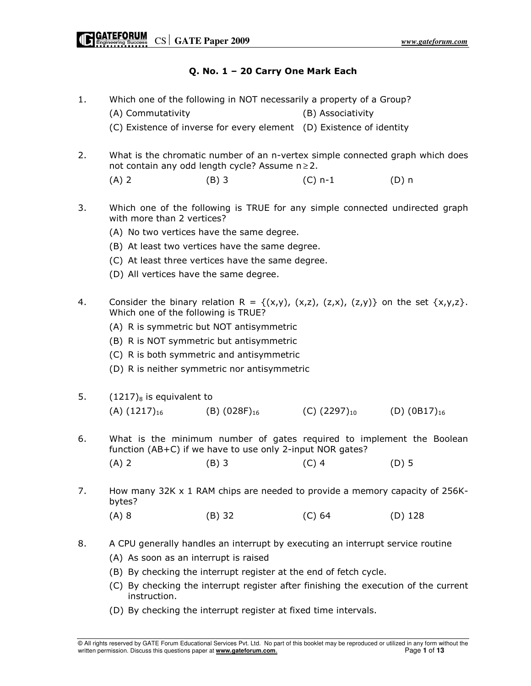# Q. No. 1 – 20 Carry One Mark Each

1. Which one of the following in NOT necessarily a property of a Group?

(A) Commutativity (B) Associativity

(C) Existence of inverse for every element (D) Existence of identity

2. What is the chromatic number of an n-vertex simple connected graph which does not contain any odd length cycle? Assume  $n \ge 2$ .

(A) 2 (B) 3 (C) n-1 (D) n

- 3. Which one of the following is TRUE for any simple connected undirected graph with more than 2 vertices?
	- (A) No two vertices have the same degree.
	- (B) At least two vertices have the same degree.
	- (C) At least three vertices have the same degree.
	- (D) All vertices have the same degree.
- 4. Consider the binary relation  $R = \{(x,y), (x,z), (z,x), (z,y)\}\$  on the set  $\{x,y,z\}$ . Which one of the following is TRUE?
	- (A) R is symmetric but NOT antisymmetric
	- (B) R is NOT symmetric but antisymmetric
	- (C) R is both symmetric and antisymmetric
	- (D) R is neither symmetric nor antisymmetric
- 5.  $(1217)_8$  is equivalent to  $(A)$  (1217)<sub>16</sub> (B) (028F)<sub>16</sub> (C) (2297)<sub>10</sub> (D) (0B17)<sub>16</sub>
- 6. What is the minimum number of gates required to implement the Boolean function (AB+C) if we have to use only 2-input NOR gates?

| $(D)$ 5<br>$(B)$ 3<br>$(C)$ 4<br>$(A)$ 2 |  |
|------------------------------------------|--|
|------------------------------------------|--|

7. How many 32K x 1 RAM chips are needed to provide a memory capacity of 256Kbytes?

(A) 8 (B) 32 (C) 64 (D) 128

- 8. A CPU generally handles an interrupt by executing an interrupt service routine
	- (A) As soon as an interrupt is raised
	- (B) By checking the interrupt register at the end of fetch cycle.
	- (C) By checking the interrupt register after finishing the execution of the current instruction.
	- (D) By checking the interrupt register at fixed time intervals.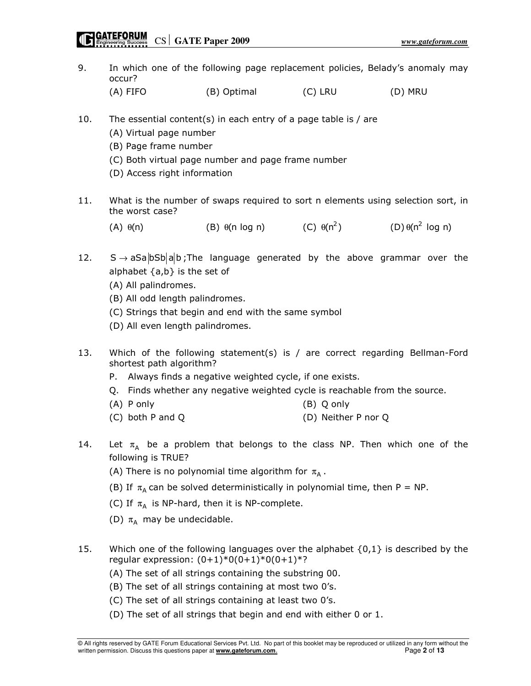- 9. In which one of the following page replacement policies, Belady's anomaly may occur? (A) FIFO (B) Optimal (C) LRU (D) MRU 10. The essential content(s) in each entry of a page table is / are (A) Virtual page number (B) Page frame number (C) Both virtual page number and page frame number (D) Access right information 11. What is the number of swaps required to sort n elements using selection sort, in the worst case? (A)  $\theta(n)$  (B)  $\theta(n \log n)$  (C)  $\theta(n^2)$  (D)  $\theta(n^2 \log n)$ 12.  $S \rightarrow aSa|bSb|a|b$ ; The language generated by the above grammar over the alphabet  $\{a,b\}$  is the set of (A) All palindromes. (B) All odd length palindromes. (C) Strings that begin and end with the same symbol (D) All even length palindromes. 13. Which of the following statement(s) is / are correct regarding Bellman-Ford shortest path algorithm? P. Always finds a negative weighted cycle, if one exists. Q. Finds whether any negative weighted cycle is reachable from the source. (A) P only (B) Q only (C) both P and Q (D) Neither P nor Q 14. Let  $\pi_A$  be a problem that belongs to the class NP. Then which one of the following is TRUE? (A) There is no polynomial time algorithm for  $\pi_{\mathsf{A}}$  . (B) If  $\pi_A$  can be solved deterministically in polynomial time, then P = NP. (C) If  $\pi_A$  is NP-hard, then it is NP-complete. (D)  $\pi_A$  may be undecidable. 15. Which one of the following languages over the alphabet  $\{0,1\}$  is described by the regular expression:  $(0+1)*0(0+1)*0(0+1)*?$ 
	- (A) The set of all strings containing the substring 00.
	- (B) The set of all strings containing at most two 0's.
	- (C) The set of all strings containing at least two 0's.
	- (D) The set of all strings that begin and end with either 0 or 1.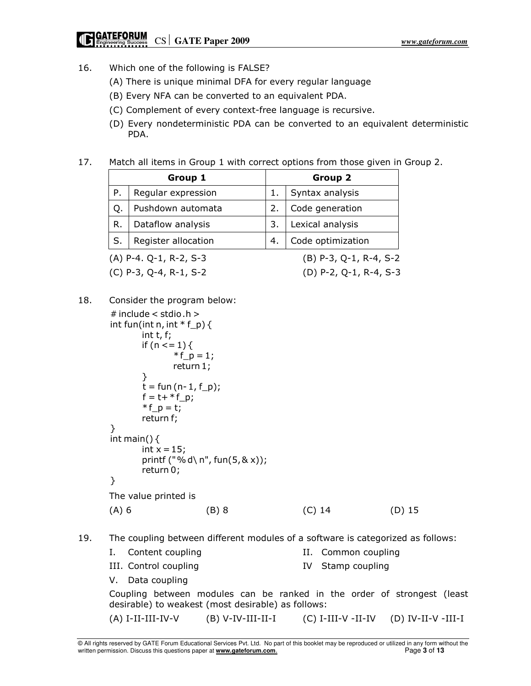- 16. Which one of the following is FALSE?
	- (A) There is unique minimal DFA for every regular language
	- (B) Every NFA can be converted to an equivalent PDA.
	- (C) Complement of every context-free language is recursive.
	- (D) Every nondeterministic PDA can be converted to an equivalent deterministic PDA.
- 17. Match all items in Group 1 with correct options from those given in Group 2.

| Group 1 |                          |    | Group 2                |
|---------|--------------------------|----|------------------------|
| Ρ.      | Regular expression       |    | Syntax analysis        |
| Q.      | Pushdown automata        | 2. | Code generation        |
| R.      | Dataflow analysis        | 3. | Lexical analysis       |
| S.      | Register allocation      | 4. | Code optimization      |
|         | $(A)$ P-4. Q-1, R-2, S-3 |    | (B) P-3, Q-1, R-4, S-2 |

(C) P-3, Q-4, R-1, S-2 (D) P-2, Q-1, R-4, S-3

- 
- 18. Consider the program below:  $#$  include  $<$  stdio.h  $>$ int fun(int n, int  $* f_p$ ) { int t, f; if  $(n < = 1)$  { \* f  $p = 1$ ; return 1; }  $t = \text{fun} (n-1, f_p);$  $f = t + * f$  p;  $* f_p = t;$ return f; } int main()  $\{$ int  $x = 15$ ; printf ("% d\ n", fun( $5, 8x$ )); return 0; } The value printed is (A) 6 (B) 8 (C) 14 (D) 15
- 19. The coupling between different modules of a software is categorized as follows:
	- I. Content coupling The II. Common coupling III. Control coupling TV Stamp coupling V. Data coupling

 Coupling between modules can be ranked in the order of strongest (least desirable) to weakest (most desirable) as follows:

(A) I-II-III-IV-V (B) V-IV-III-II-I (C) I-III-V -II-IV (D) IV-II-V -III-I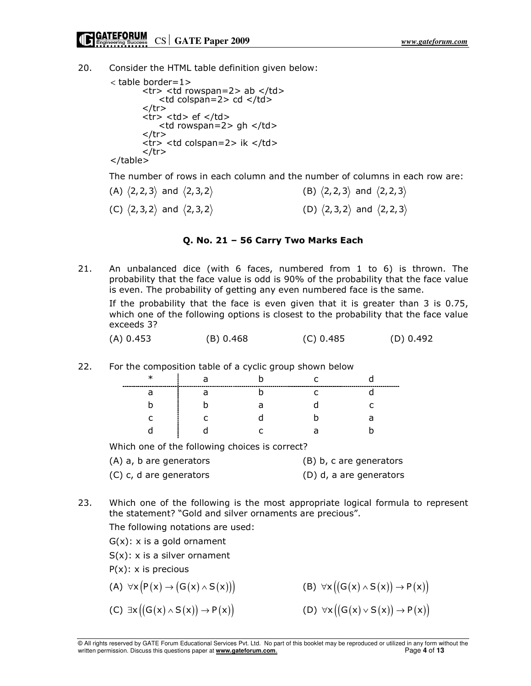20. Consider the HTML table definition given below:

```
< table border=1>
       <tr> <td rowspan=2> ab </td>
           <td colspan=2> cd </td>
       \langletr>
       <tr> <td> ef </td>
            <td rowspan=2> gh </td>
       \langletr><tr> <td colspan=2> ik </td>
       \langle tr \rangle</table>
```
The number of rows in each column and the number of columns in each row are:

(A)  $\langle 2,2,3 \rangle$  and  $\langle 2,3,2 \rangle$  (B)  $\langle 2,2,3 \rangle$  and  $\langle 2,2,3 \rangle$ (C)  $\langle 2,3,2 \rangle$  and  $\langle 2,3,2 \rangle$  (D)  $\langle 2,3,2 \rangle$  and  $\langle 2,2,3 \rangle$ 

### Q. No. 21 – 56 Carry Two Marks Each

21. An unbalanced dice (with 6 faces, numbered from 1 to 6) is thrown. The probability that the face value is odd is 90% of the probability that the face value is even. The probability of getting any even numbered face is the same. If the probability that the face is even given that it is greater than 3 is 0.75, which one of the following options is closest to the probability that the face value exceeds 3?

| (A) 0.453 | (B) 0.468 | $(C)$ 0.485 | (D) 0.492 |
|-----------|-----------|-------------|-----------|

22. For the composition table of a cyclic group shown below

| ∽ | ----- | -----------------------<br>-- |   |
|---|-------|-------------------------------|---|
| a |       | ∽                             |   |
|   |       |                               |   |
|   |       |                               | a |
|   |       | ∍                             |   |
|   |       |                               |   |

Which one of the following choices is correct?

| (A) a, b are generators | (B) b, c are generators |
|-------------------------|-------------------------|
| (C) c, d are generators | (D) d, a are generators |

23. Which one of the following is the most appropriate logical formula to represent the statement? "Gold and silver ornaments are precious".

The following notations are used:

 $G(x)$ : x is a gold ornament

 $S(x)$ : x is a silver ornament

 $P(x)$ : x is precious

(A)  $\forall x (P(x) \rightarrow (G(x) \land S(x)))$  (B)  $\forall x ((G(x) \land S(x)) \rightarrow P(x))$ (C)  $\exists x ((G(x) \land S(x)) \rightarrow P(x))$  (D)  $\forall x ((G(x) \lor S(x)) \rightarrow P(x))$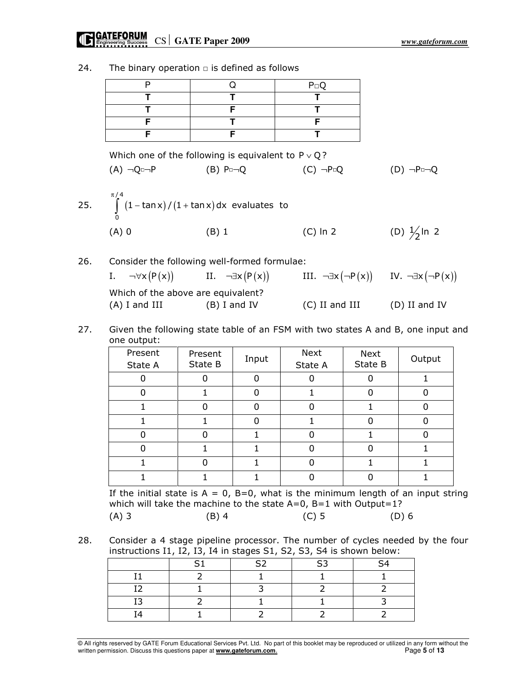# **CONTEFORUM**<br> **CS GATE Paper 2009** *www.gateforum.com*

|     | P                                                                         | Q                                                        | $P \Box Q$                                                                                                            |                          |
|-----|---------------------------------------------------------------------------|----------------------------------------------------------|-----------------------------------------------------------------------------------------------------------------------|--------------------------|
|     | т                                                                         | Т                                                        |                                                                                                                       |                          |
|     | т                                                                         | F                                                        |                                                                                                                       |                          |
|     | F                                                                         | T                                                        | F                                                                                                                     |                          |
|     | F                                                                         | F                                                        |                                                                                                                       |                          |
|     |                                                                           | Which one of the following is equivalent to $P \vee Q$ ? |                                                                                                                       |                          |
|     | $(A) \neg Q \Box \neg P$                                                  | $(B)$ P $\neg Q$                                         | $(C) \neg P \Box Q$                                                                                                   | $(D) \neg P \Box \neg Q$ |
|     | $\pi/4$<br>25. $\int_{2}^{3} (1 - \tan x) / (1 + \tan x) dx$ evaluates to |                                                          |                                                                                                                       |                          |
|     | $(A)$ 0                                                                   | $(B)$ 1                                                  | $(C)$ ln 2                                                                                                            | (D) $\frac{1}{2}$ In 2   |
| 26. |                                                                           | Consider the following well-formed formulae:             |                                                                                                                       |                          |
|     |                                                                           |                                                          | I. $\neg\forall x (P(x))$ II. $\neg\exists x (P(x))$ III. $\neg\exists x (\neg P(x))$ IV. $\neg\exists x (\neg P(x))$ |                          |
|     |                                                                           |                                                          |                                                                                                                       |                          |

24. The binary operation  $\square$  is defined as follows

|                 | Which of the above are equivalent? |
|-----------------|------------------------------------|
| $(A)$ I and III | $(B)$ I and IV                     |

| P(x) | III. $\neg \exists x (\neg P(x))$ | IV.  →∃x (→P (x |
|------|-----------------------------------|-----------------|
| nt?  |                                   |                 |
| IV   | $(C)$ II and III                  | $(D)$ II and IV |

27. Given the following state table of an FSM with two states A and B, one input and one output:

|         |         | Next    | Next    |        |
|---------|---------|---------|---------|--------|
| State B |         | State A | State B | Output |
| 0       |         |         |         |        |
|         |         |         |         |        |
| O       |         |         |         |        |
|         |         |         |         |        |
|         |         |         |         |        |
|         |         |         |         |        |
| 0       |         |         |         |        |
|         |         |         |         |        |
|         | Present | Input   |         |        |

If the initial state is  $A = 0$ ,  $B=0$ , what is the minimum length of an input string which will take the machine to the state A=0, B=1 with Output=1? (A) 3 (B) 4 (C) 5 (D) 6

28. Consider a 4 stage pipeline processor. The number of cycles needed by the four instructions I1, I2, I3, I4 in stages S1, S2, S3, S4 is shown below:

|  | ~- | ິ | ົ່ |
|--|----|---|----|
|  |    |   |    |
|  |    |   |    |
|  |    |   |    |
|  |    |   |    |

© All rights reserved by GATE Forum Educational Services Pvt. Ltd. No part of this booklet may be reproduced or utilized in any form without the written permission. Discuss this questions paper at **www.gateforum.com.** Page **5** of **13**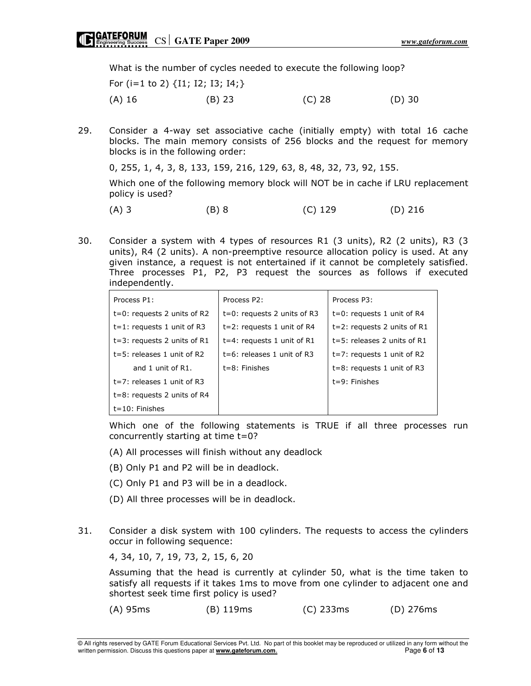What is the number of cycles needed to execute the following loop?

|          | For (i=1 to 2) $\{I1; I2; I3; I4\}$ |        |          |
|----------|-------------------------------------|--------|----------|
| $(A)$ 16 | $(B)$ 23                            | (C) 28 | $(D)$ 30 |

29. Consider a 4-way set associative cache (initially empty) with total 16 cache blocks. The main memory consists of 256 blocks and the request for memory blocks is in the following order:

0, 255, 1, 4, 3, 8, 133, 159, 216, 129, 63, 8, 48, 32, 73, 92, 155.

 Which one of the following memory block will NOT be in cache if LRU replacement policy is used?

(A) 3 (B) 8 (C) 129 (D) 216

30. Consider a system with 4 types of resources R1 (3 units), R2 (2 units), R3 (3 units), R4 (2 units). A non-preemptive resource allocation policy is used. At any given instance, a request is not entertained if it cannot be completely satisfied. Three processes P1, P2, P3 request the sources as follows if executed independently.

| Process P1:                    | Process P2:                    | Process P3:                    |
|--------------------------------|--------------------------------|--------------------------------|
| $t=0$ : requests 2 units of R2 | $t=0$ : requests 2 units of R3 | $t=0$ : requests 1 unit of R4  |
| $t=1$ : requests 1 unit of R3  | $t=2$ : requests 1 unit of R4  | $t=2$ : requests 2 units of R1 |
| $t=3$ : requests 2 units of R1 | $t=4$ : requests 1 unit of R1  | $t=5$ : releases 2 units of R1 |
| $t=5$ : releases 1 unit of R2  | $t=6$ : releases 1 unit of R3  | $t=7$ : requests 1 unit of R2  |
| and 1 unit of R1.              | $t = 8$ : Finishes             | $t=8$ : requests 1 unit of R3  |
| $t=7$ : releases 1 unit of R3  |                                | $t = 9$ : Finishes             |
| $t=8$ : requests 2 units of R4 |                                |                                |
| $t = 10$ : Finishes            |                                |                                |

 Which one of the following statements is TRUE if all three processes run concurrently starting at time t=0?

- (A) All processes will finish without any deadlock
- (B) Only P1 and P2 will be in deadlock.
- (C) Only P1 and P3 will be in a deadlock.
- (D) All three processes will be in deadlock.
- 31. Consider a disk system with 100 cylinders. The requests to access the cylinders occur in following sequence:

4, 34, 10, 7, 19, 73, 2, 15, 6, 20

 Assuming that the head is currently at cylinder 50, what is the time taken to satisfy all requests if it takes 1ms to move from one cylinder to adjacent one and shortest seek time first policy is used?

(A) 95ms (B) 119ms (C) 233ms (D) 276ms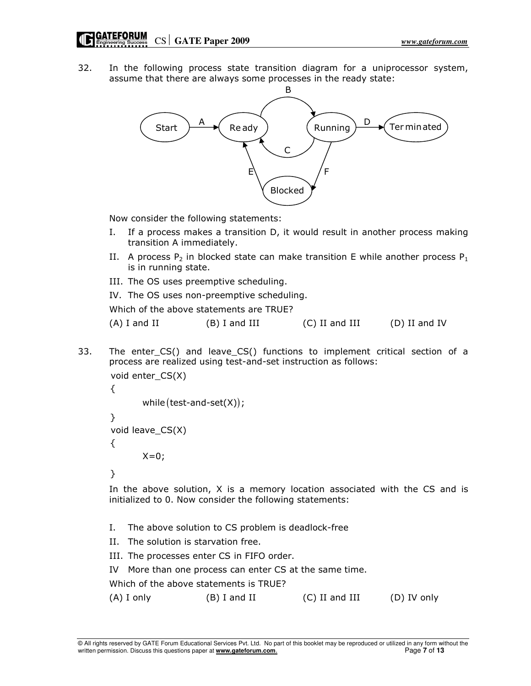32. In the following process state transition diagram for a uniprocessor system, assume that there are always some processes in the ready state:



Now consider the following statements:

- I. If a process makes a transition D, it would result in another process making transition A immediately.
- II. A process  $P_2$  in blocked state can make transition E while another process  $P_1$ is in running state.
- III. The OS uses preemptive scheduling.
- IV. The OS uses non-preemptive scheduling.

Which of the above statements are TRUE?

33. The enter\_CS() and leave\_CS() functions to implement critical section of a process are realized using test-and-set instruction as follows:

```
while (test-and-set(X));void enter_CS(X)
{
}
void leave_CS(X)
{
       X=0;
```
}

 In the above solution, X is a memory location associated with the CS and is initialized to 0. Now consider the following statements:

- I. The above solution to CS problem is deadlock-free
- II. The solution is starvation free.
- III. The processes enter CS in FIFO order.
- IV More than one process can enter CS at the same time.

Which of the above statements is TRUE?

(A) I only (B) I and II (C) II and III (D) IV only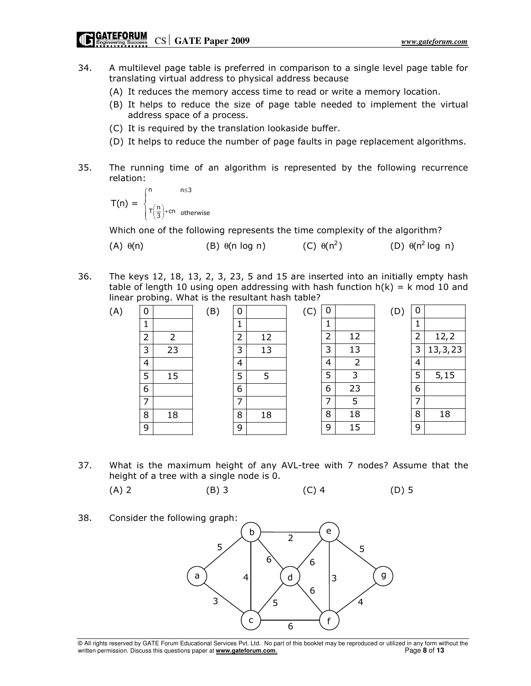- 34. A multilevel page table is preferred in comparison to a single level page table for translating virtual address to physical address because
	- (A) It reduces the memory access time to read or write a memory location.
	- (B) It helps to reduce the size of page table needed to implement the virtual address space of a process.
	- (C) It is required by the translation lookaside buffer.
	- (D) It helps to reduce the number of page faults in page replacement algorithms.
- 35. The running time of an algorithm is represented by the following recurrence relation:

$$
T(n) = \begin{cases} n & n \leq 3 \\ T\left(\frac{n}{3}\right) + cn & \text{otherwise} \end{cases}
$$

Which one of the following represents the time complexity of the algorithm?

| $(A)$ $\theta(n)$<br>$(B)$ $\theta$ (n log n) | $(C)$ $\theta(n^2)$ | $(D)$ $\theta(n^2 \log n)$ |
|-----------------------------------------------|---------------------|----------------------------|
|-----------------------------------------------|---------------------|----------------------------|

36. The keys 12, 18, 13, 2, 3, 23, 5 and 15 are inserted into an initially empty hash table of length 10 using open addressing with hash function  $h(k) = k \text{ mod } 10$  and linear probing. What is the resultant hash table?

| (A) | 0              |    | (B) | 0              |    | $\overline{C}$ | 0 |                | (D | 0              |           |
|-----|----------------|----|-----|----------------|----|----------------|---|----------------|----|----------------|-----------|
|     | J.             |    |     |                |    |                | ┻ |                |    |                |           |
|     | $\overline{2}$ | 2  |     | $\overline{2}$ | 12 |                | 2 | 12             |    | $\overline{2}$ | 12, 2     |
|     | 3              | 23 |     | 3              | 13 |                | 3 | 13             |    | 3              | 13, 3, 23 |
|     | $\overline{4}$ |    |     | 4              |    |                | 4 | $\overline{2}$ |    | $\overline{4}$ |           |
|     | 5              | 15 |     | 5              | 5  |                | 5 | 3              |    | 5              | 5, 15     |
|     | 6              |    |     | 6              |    |                | 6 | 23             |    | 6              |           |
|     | ⇁              |    |     | ⇁              |    |                | 7 | 5              |    | ᄀ              |           |
|     | 8              | 18 |     | 8              | 18 |                | 8 | 18             |    | 8              | 18        |
|     | 9              |    |     | 9              |    |                | 9 | 15             |    | 9              |           |

37. What is the maximum height of any AVL-tree with 7 nodes? Assume that the height of a tree with a single node is 0.

(A) 2 (B) 3 (C) 4 (D) 5

38. Consider the following graph:



<sup>©</sup> All rights reserved by GATE Forum Educational Services Pvt. Ltd. No part of this booklet may be reproduced or utilized in any form without the written permission. Discuss this questions paper at **www.gateforum.com.** Page 8 of 13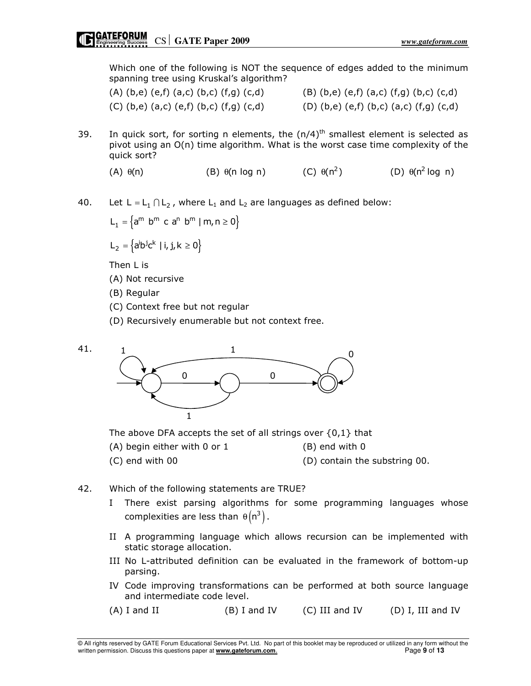Which one of the following is NOT the sequence of edges added to the minimum spanning tree using Kruskal's algorithm?

| $(A)$ (b,e) (e,f) (a,c) (b,c) (f,g) (c,d) | $(B)$ (b,e) (e,f) (a,c) (f,g) (b,c) (c,d) |
|-------------------------------------------|-------------------------------------------|
| $(C)$ (b,e) (a,c) (e,f) (b,c) (f,g) (c,d) | $(D)$ (b,e) (e,f) (b,c) (a,c) (f,g) (c,d) |

- 39. In quick sort, for sorting n elements, the  $(n/4)$ <sup>th</sup> smallest element is selected as pivot using an O(n) time algorithm. What is the worst case time complexity of the quick sort?
	- (A)  $\theta(n)$  (B)  $\theta(n \log n)$  (C)  $\theta(n^2)$ θ(n<sup>2</sup>) (D) θ(n<sup>2</sup> log n)

40. Let  $L = L_1 \cap L_2$ , where  $L_1$  and  $L_2$  are languages as defined below:

 $L_1 = \{a^m \ b^m \ c \ a^n \ b^m \mid m, n \ge 0\}$ 

 $L_2 = \left\{ a^i b^j c^k \mid i, j, k \ge 0 \right\}$ 

Then L is

- (A) Not recursive
- (B) Regular
- (C) Context free but not regular
- (D) Recursively enumerable but not context free.



The above DFA accepts the set of all strings over  $\{0,1\}$  that

- $(A)$  begin either with 0 or 1  $(B)$  end with 0
- (C) end with 00 (D) contain the substring 00.
- 42. Which of the following statements are TRUE?
	- I There exist parsing algorithms for some programming languages whose complexities are less than  $\theta(n^3)$ .
	- II A programming language which allows recursion can be implemented with static storage allocation.
	- III No L-attributed definition can be evaluated in the framework of bottom-up parsing.
	- IV Code improving transformations can be performed at both source language and intermediate code level.

 $(A)$  I and II (B) I and IV (C) III and IV (D) I, III and IV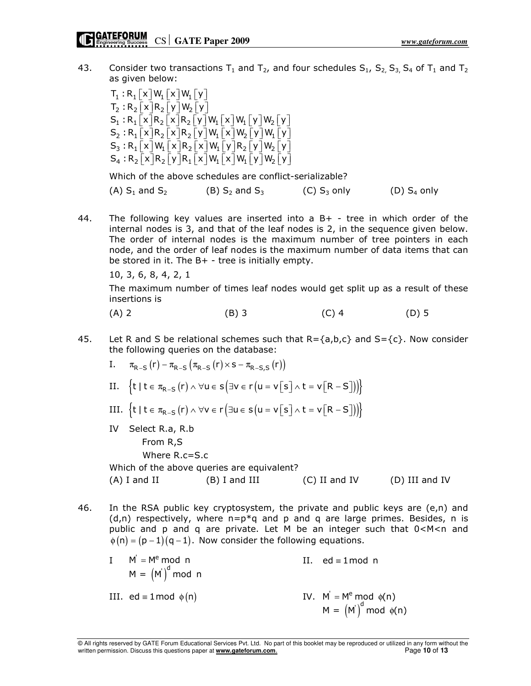43. Consider two transactions  $T_1$  and  $T_2$ , and four schedules  $S_1$ ,  $S_2$ ,  $S_3$ ,  $S_4$  of  $T_1$  and  $T_2$ as given below:

 $\mathsf{T}_1:\mathsf{R}_1\big[\!\!\big[\ \mathsf{x}\big]\!\!\big]\mathsf{W}_1\big[\!\!\big[\ \mathsf{x}\big]\!\!\big]\mathsf{W}_1\big[\!\!\big[\ \mathsf{y}\big]\!\!\big]$  $\mathsf{T}_2:\mathsf{R}_2\big[\mathsf{x}\big]\mathsf{R}_2\big[\mathsf{y}\big]\mathsf{W}_2\big[\mathsf{y}\big]$  $\mathsf{S}_1:\mathsf{R}_1\big[\!\!\big[\ \mathsf{x}\big]\!\!\big]\mathsf{R}_2\big[\!\!\big[\ \mathsf{x}\big]\!\!\big]\mathsf{R}_2\big[\!\!\big[\ \mathsf{y}\big]\!\!\big]\mathsf{W}_1\big[\!\!\big[\ \mathsf{x}\big]\!\!\big]\mathsf{W}_1\big[\!\!\big[\ \mathsf{y}\big]\!\!\big]\mathsf{W}_2\big[\!\!\big[\ \mathsf{y}\big]\!\!\big]$  $\mathsf{S}_2 : \mathsf{R}_1\big[\!\!\big[\ \mathsf{x}\big]\!\!\big]\mathsf{R}_2\big[\!\!\big[\ \mathsf{x}\big]\!\!\big]\mathsf{R}_2\big[\!\!\big[\ \mathsf{y}\big]\!\!\big]\mathsf{W}_1\big[\!\!\big[\ \mathsf{x}\big]\!\!\big]\mathsf{W}_2\big[\!\!\big[\ \mathsf{y}\big]\!\!\big]\mathsf{W}_1\big[\!\!\big[\ \mathsf{y}\big]\!\!\big]$  $\mathsf{S}_3:\mathsf{R}_1\big[\!\!\big[\ \mathsf{x}\big]\!\!\big]\mathsf{W}_1\big[\!\!\big[\ \mathsf{x}\big]\!\!\big]\mathsf{R}_2\big[\!\!\big[\ \mathsf{x}\big]\!\!\big]\mathsf{W}_1\big[\!\!\big[\ \mathsf{y}\big]\!\!\big]\mathsf{R}_2\big[\!\!\big[\ \mathsf{y}\big]\!\!\big]\mathsf{W}_2\big[\!\!\big[\ \mathsf{y}\big]\!\!\big]$  $S_4: R_2[X]R_2[Y]R_1[X]W_1[X]W_1[Y]W_2[Y]$ 

Which of the above schedules are conflict-serializable?

(A)  $S_1$  and  $S_2$  (B)  $S_2$  and  $S_3$  (C)  $S_3$  only (D)  $S_4$  only

44. The following key values are inserted into a B+ - tree in which order of the internal nodes is 3, and that of the leaf nodes is 2, in the sequence given below. The order of internal nodes is the maximum number of tree pointers in each node, and the order of leaf nodes is the maximum number of data items that can be stored in it. The B+ - tree is initially empty.

10, 3, 6, 8, 4, 2, 1

 The maximum number of times leaf nodes would get split up as a result of these insertions is

$$
(A) 2 \t\t (B) 3 \t\t (C) 4 \t\t (D) 5
$$

45. Let R and S be relational schemes such that  $R = \{a, b, c\}$  and  $S = \{c\}$ . Now consider the following queries on the database:

I. 
$$
\pi_{R-S}(r) - \pi_{R-S}(\pi_{R-S}(r) \times s - \pi_{R-S,S}(r))
$$
  
\nII.  $\{t \mid t \in \pi_{R-S}(r) \land \forall u \in s (\exists v \in r (u = v[s] \land t = v[R-S]))\}$   
\nIII.  $\{t \mid t \in \pi_{R-S}(r) \land \forall v \in r (\exists u \in s (u = v[s] \land t = v[R-S]))\}$   
\nIV Select R.a, R.b  
\nFrom R,S  
\nWhere R.c=S.c  
\nWhich of the above queries are equivalent?  
\n(A) I and II (B) I and III (C) II and IV (D) III and IV

46. In the RSA public key cryptosystem, the private and public keys are (e,n) and  $(d,n)$  respectively, where  $n=p*q$  and p and q are large primes. Besides, n is public and p and q are private. Let M be an integer such that 0<M<n and  $\phi(n) = (p-1)(q-1)$ . Now consider the following equations.

| $I$ $M' = Me$ mod n<br>$M = (M)^d \text{ mod } n$ | II. ed $\equiv$ 1 mod n                                 |
|---------------------------------------------------|---------------------------------------------------------|
| III. ed = 1 mod $\phi(n)$                         | IV. $M' = M^e \mod \phi(n)$<br>$M = (M)^d \mod \phi(n)$ |

© All rights reserved by GATE Forum Educational Services Pvt. Ltd. No part of this booklet may be reproduced or utilized in any form without the written permission. Discuss this questions paper at **www.gateforum.com.** Page 10 of 13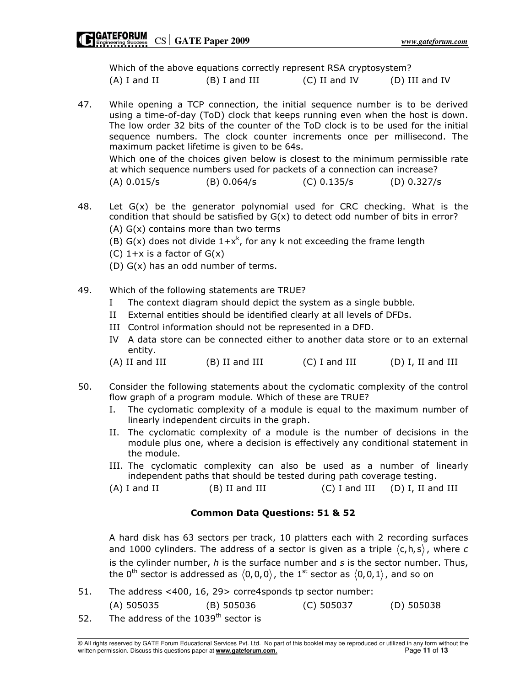Which of the above equations correctly represent RSA cryptosystem? (A) I and II (B) I and III (C) II and IV (D) III and IV

- 47. While opening a TCP connection, the initial sequence number is to be derived using a time-of-day (ToD) clock that keeps running even when the host is down. The low order 32 bits of the counter of the ToD clock is to be used for the initial sequence numbers. The clock counter increments once per millisecond. The maximum packet lifetime is given to be 64s. Which one of the choices given below is closest to the minimum permissible rate at which sequence numbers used for packets of a connection can increase? (A) 0.015/s (B) 0.064/s (C) 0.135/s (D) 0.327/s
- 48. Let  $G(x)$  be the generator polynomial used for CRC checking. What is the condition that should be satisfied by G(x) to detect odd number of bits in error? (A) G(x) contains more than two terms
- (B) G(x) does not divide  $1+x^k$ , for any k not exceeding the frame length
	- (C)  $1+x$  is a factor of  $G(x)$
	- (D) G(x) has an odd number of terms.
- 49. Which of the following statements are TRUE?
	- I The context diagram should depict the system as a single bubble.
	- II External entities should be identified clearly at all levels of DFDs.
	- III Control information should not be represented in a DFD.
	- IV A data store can be connected either to another data store or to an external entity.
	- (A) II and III (B) II and III (C) I and III (D) I, II and III
- 50. Consider the following statements about the cyclomatic complexity of the control flow graph of a program module. Which of these are TRUE?
	- I. The cyclomatic complexity of a module is equal to the maximum number of linearly independent circuits in the graph.
	- II. The cyclomatic complexity of a module is the number of decisions in the module plus one, where a decision is effectively any conditional statement in the module.
	- III. The cyclomatic complexity can also be used as a number of linearly independent paths that should be tested during path coverage testing.

 $(A)$  I and II  $(B)$  II and III  $(C)$  I and III  $(D)$  I, II and III

# Common Data Questions: 51 & 52

A hard disk has 63 sectors per track, 10 platters each with 2 recording surfaces and 1000 cylinders. The address of a sector is given as a triple  $\langle c,h,s \rangle$ , where c is the cylinder number,  $h$  is the surface number and  $s$  is the sector number. Thus, the 0<sup>th</sup> sector is addressed as  $(0,0,0)$ , the 1<sup>st</sup> sector as  $(0,0,1)$ , and so on

- 51. The address <400, 16, 29> corre4sponds tp sector number: (A) 505035 (B) 505036 (C) 505037 (D) 505038 52. The address of the  $1039<sup>th</sup>$  sector is
- © All rights reserved by GATE Forum Educational Services Pvt. Ltd. No part of this booklet may be reproduced or utilized in any form without the written permission. Discuss this questions paper at **www.gateforum.com.** Page 11 of 13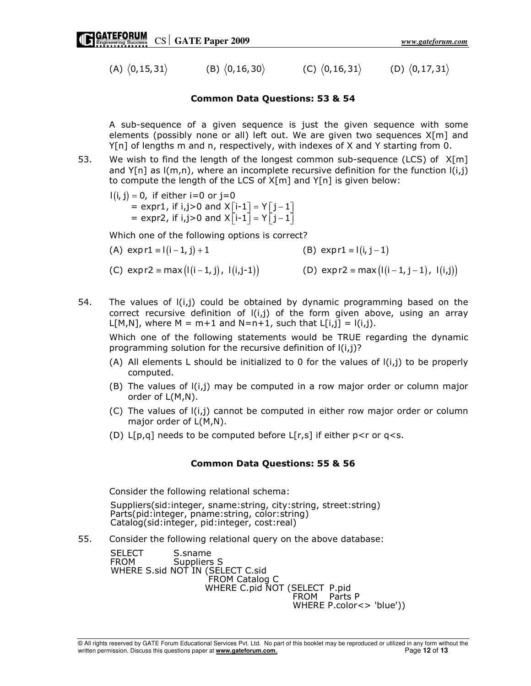(A)  $\langle 0, 15, 31 \rangle$  (B)  $\langle 0, 16, 30 \rangle$  (C)  $\langle 0, 16, 31 \rangle$  (D)  $\langle 0, 17, 31 \rangle$ 

### Common Data Questions: 53 & 54

A sub-sequence of a given sequence is just the given sequence with some elements (possibly none or all) left out. We are given two sequences X[m] and Y[n] of lengths m and n, respectively, with indexes of X and Y starting from 0.

53. We wish to find the length of the longest common sub-sequence (LCS) of  $X[m]$ and  $Y[n]$  as  $(m,n)$ , where an incomplete recursive definition for the function  $I(i,j)$ to compute the length of the LCS of X[m] and Y[n] is given below:

 $I(i,j)$  = 0,  $\;$  if either i=0 or j=0  $\;$ = expr1, if i,j>0 and  $X[i-1] = Y[j-1]$ = expr2, if i,j>0 and  $X[i-1] = Y[j-1]$ 

Which one of the following options is correct?

- (A)  $exp r1 \equiv l(i-1, j) + 1$  (B)  $exp r1 \equiv l(i, j-1)$ (C)  $\exp r2 \equiv \max ( |(i-1, j), 1(i, j-1) |$  (D)  $\exp r2 \equiv \max ( |(i-1, j-1), 1(i, j) |$
- 54. The values of  $I(i,j)$  could be obtained by dynamic programming based on the correct recursive definition of  $I(i,j)$  of the form given above, using an array  $L[M,N]$ , where M = m+1 and N=n+1, such that  $L[i,j] = l(i,j)$ .

 Which one of the following statements would be TRUE regarding the dynamic programming solution for the recursive definition of l(i,j)?

- (A) All elements L should be initialized to 0 for the values of  $I(i,j)$  to be properly computed.
- $(B)$  The values of  $I(i,j)$  may be computed in a row major order or column major order of L(M,N).
- (C) The values of l(i,j) cannot be computed in either row major order or column major order of L(M,N).
- (D)  $L[p,q]$  needs to be computed before  $L[r,s]$  if either  $p < r$  or  $q < s$ .

#### Common Data Questions: 55 & 56

Consider the following relational schema:

Suppliers(sid:integer, sname:string, city:string, street:string) Parts(pid:integer, pname:string, color:string) Catalog(sid:integer, pid:integer, cost:real)

55. Consider the following relational query on the above database:

SELECT S.sname FROM Suppliers S WHERE S.sid NOT IN (SELECT C.sid FROM Catalog C WHERE C.pid NOT (SELECT P.pid FROM Parts P WHERE P.color<> 'blue'))